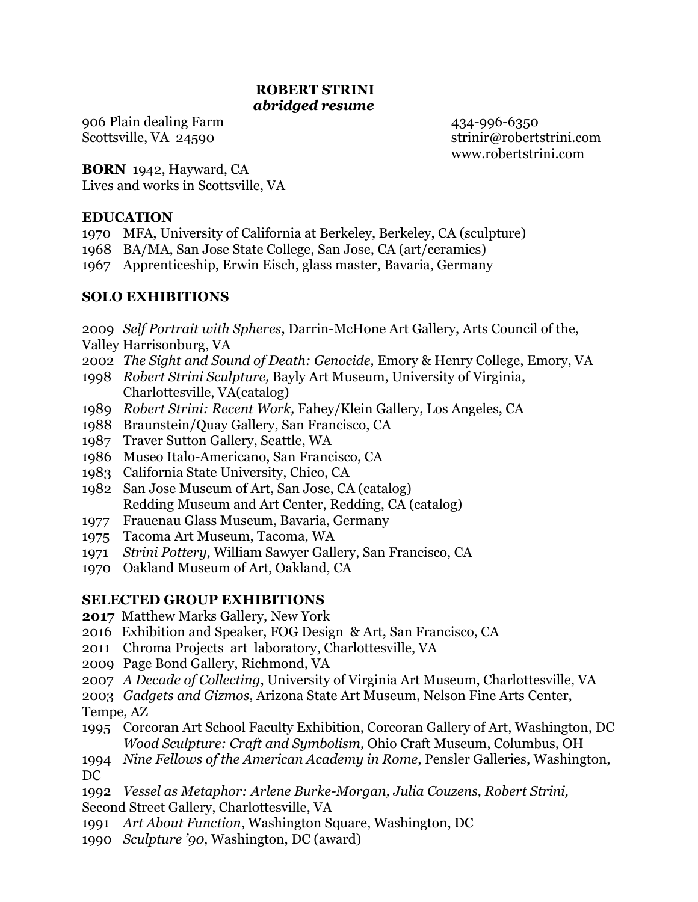# **ROBERT STRINI** *abridged resume*

906 Plain dealing Farm 434-996-6350

Scottsville, VA 24590 strinir@robertstrini.com www.robertstrini.com

**BORN** 1942, Hayward, CA Lives and works in Scottsville, VA

## **EDUCATION**

- 1970 MFA, University of California at Berkeley, Berkeley, CA (sculpture)
- 1968 BA/MA, San Jose State College, San Jose, CA (art/ceramics)
- 1967 Apprenticeship, Erwin Eisch, glass master, Bavaria, Germany

# **SOLO EXHIBITIONS**

- 2009 *Self Portrait with Spheres*, Darrin-McHone Art Gallery, Arts Council of the,
- Valley Harrisonburg, VA
- 2002 *The Sight and Sound of Death: Genocide,* Emory & Henry College, Emory, VA
- 1998 *Robert Strini Sculpture,* Bayly Art Museum, University of Virginia, Charlottesville, VA(catalog)
- 1989 *Robert Strini: Recent Work,* Fahey/Klein Gallery, Los Angeles, CA
- 1988 Braunstein/Quay Gallery, San Francisco, CA
- 1987 Traver Sutton Gallery, Seattle, WA
- 1986 Museo Italo-Americano, San Francisco, CA
- 1983 California State University, Chico, CA
- 1982 San Jose Museum of Art, San Jose, CA (catalog) Redding Museum and Art Center, Redding, CA (catalog)
- 1977 Frauenau Glass Museum, Bavaria, Germany
- 1975 Tacoma Art Museum, Tacoma, WA
- 1971 *Strini Pottery,* William Sawyer Gallery, San Francisco, CA
- 1970 Oakland Museum of Art, Oakland, CA

# **SELECTED GROUP EXHIBITIONS**

**2017** Matthew Marks Gallery, New York

- 2016 Exhibition and Speaker, FOG Design & Art, San Francisco, CA
- 2011 Chroma Projects art laboratory, Charlottesville, VA
- 2009 Page Bond Gallery, Richmond, VA
- 2007 *A Decade of Collecting*, University of Virginia Art Museum, Charlottesville, VA

2003 *Gadgets and Gizmos*, Arizona State Art Museum, Nelson Fine Arts Center, Tempe, AZ

- 1995 Corcoran Art School Faculty Exhibition, Corcoran Gallery of Art, Washington, DC *Wood Sculpture: Craft and Symbolism,* Ohio Craft Museum, Columbus, OH
- 1994 *Nine Fellows of the American Academy in Rome*, Pensler Galleries, Washington, DC

1992 *Vessel as Metaphor: Arlene Burke-Morgan, Julia Couzens, Robert Strini,*  Second Street Gallery, Charlottesville, VA

- 1991 *Art About Function*, Washington Square, Washington, DC
- 1990 *Sculpture '90*, Washington, DC (award)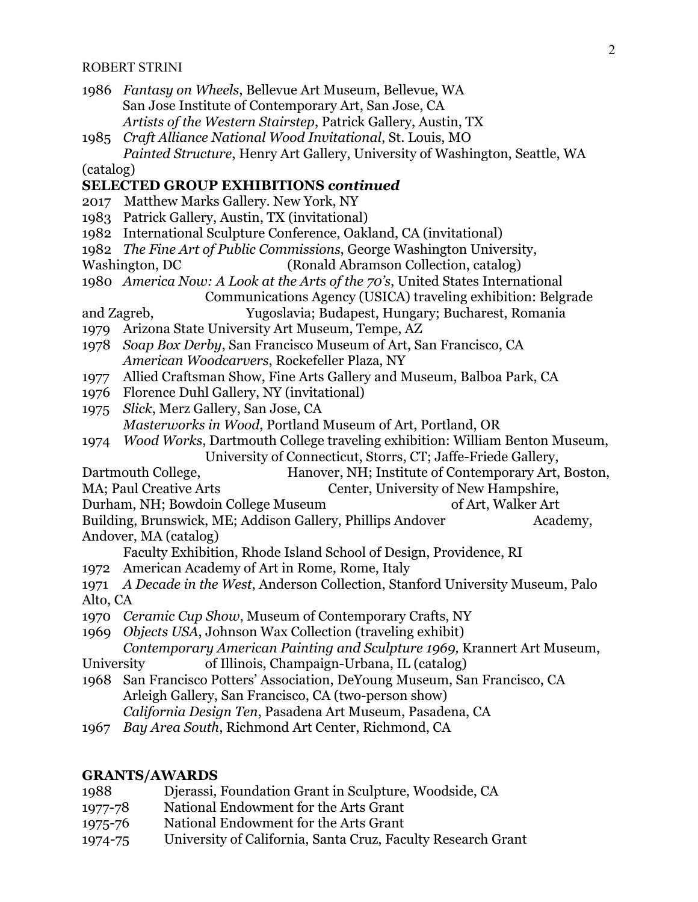- 1986 *Fantasy on Wheels*, Bellevue Art Museum, Bellevue, WA San Jose Institute of Contemporary Art, San Jose, CA *Artists of the Western Stairstep*, Patrick Gallery, Austin, TX
- 1985 *Craft Alliance National Wood Invitational*, St. Louis, MO *Painted Structure*, Henry Art Gallery, University of Washington, Seattle, WA

(catalog)

## **SELECTED GROUP EXHIBITIONS** *continued*

- 2017 Matthew Marks Gallery. New York, NY
- 1983 Patrick Gallery, Austin, TX (invitational)
- 1982 International Sculpture Conference, Oakland, CA (invitational)
- 1982 *The Fine Art of Public Commissions*, George Washington University,
- Washington, DC (Ronald Abramson Collection, catalog)
- 1980 *America Now: A Look at the Arts of the 70's*, United States International Communications Agency (USICA) traveling exhibition: Belgrade
- and Zagreb, Yugoslavia; Budapest, Hungary; Bucharest, Romania
- 1979 Arizona State University Art Museum, Tempe, AZ
- 1978 *Soap Box Derby*, San Francisco Museum of Art, San Francisco, CA *American Woodcarvers*, Rockefeller Plaza, NY
- 1977 Allied Craftsman Show, Fine Arts Gallery and Museum, Balboa Park, CA
- 1976 Florence Duhl Gallery, NY (invitational)
- 1975 *Slick*, Merz Gallery, San Jose, CA *Masterworks in Wood*, Portland Museum of Art, Portland, OR
- 1974 *Wood Works*, Dartmouth College traveling exhibition: William Benton Museum, University of Connecticut, Storrs, CT; Jaffe-Friede Gallery,
- Dartmouth College, Hanover, NH; Institute of Contemporary Art, Boston,
- MA; Paul Creative Arts Center, University of New Hampshire,
- Durham, NH; Bowdoin College Museum of Art, Walker Art
- Building, Brunswick, ME; Addison Gallery, Phillips Andover Academy, Andover, MA (catalog)
	- Faculty Exhibition, Rhode Island School of Design, Providence, RI
- 1972 American Academy of Art in Rome, Rome, Italy
- 1971 *A Decade in the West*, Anderson Collection, Stanford University Museum, Palo Alto, CA
- 1970 *Ceramic Cup Show*, Museum of Contemporary Crafts, NY
- 1969 *Objects USA*, Johnson Wax Collection (traveling exhibit)

*Contemporary American Painting and Sculpture 1969,* Krannert Art Museum,

- University of Illinois, Champaign-Urbana, IL (catalog)
- 1968 San Francisco Potters' Association, DeYoung Museum, San Francisco, CA Arleigh Gallery, San Francisco, CA (two-person show) *California Design Ten*, Pasadena Art Museum, Pasadena, CA
- 1967 *Bay Area South*, Richmond Art Center, Richmond, CA

## **GRANTS/AWARDS**

- 1988 Djerassi, Foundation Grant in Sculpture, Woodside, CA
- 1977-78 National Endowment for the Arts Grant
- 1975-76 National Endowment for the Arts Grant
- 1974-75 University of California, Santa Cruz, Faculty Research Grant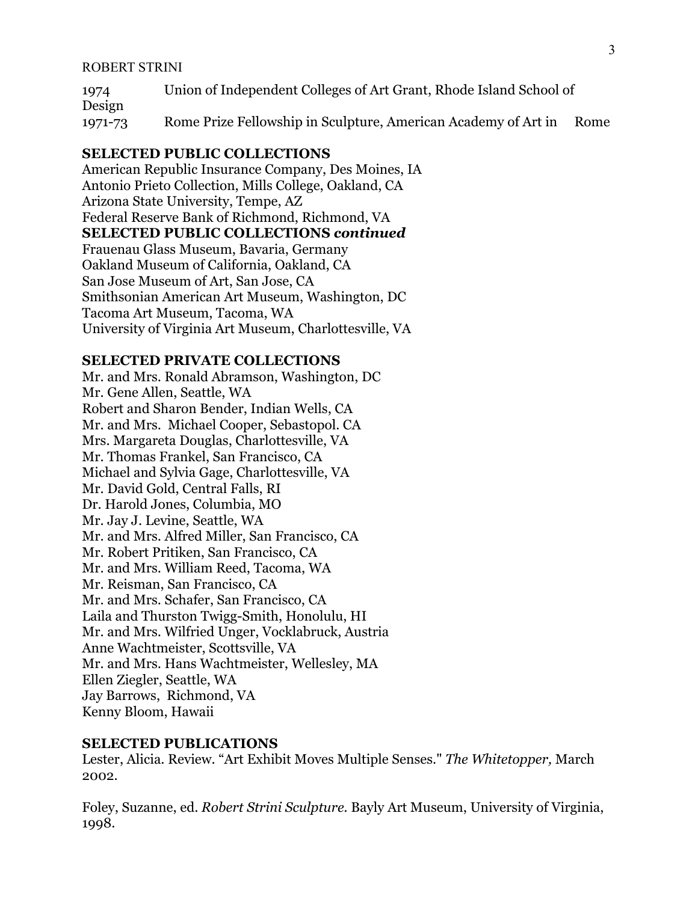1974 Union of Independent Colleges of Art Grant, Rhode Island School of Design 1971-73 Rome Prize Fellowship in Sculpture, American Academy of Art in Rome

#### **SELECTED PUBLIC COLLECTIONS**

American Republic Insurance Company, Des Moines, IA Antonio Prieto Collection, Mills College, Oakland, CA Arizona State University, Tempe, AZ Federal Reserve Bank of Richmond, Richmond, VA **SELECTED PUBLIC COLLECTIONS** *continued*  Frauenau Glass Museum, Bavaria, Germany Oakland Museum of California, Oakland, CA San Jose Museum of Art, San Jose, CA Smithsonian American Art Museum, Washington, DC Tacoma Art Museum, Tacoma, WA University of Virginia Art Museum, Charlottesville, VA

## **SELECTED PRIVATE COLLECTIONS**

Mr. and Mrs. Ronald Abramson, Washington, DC Mr. Gene Allen, Seattle, WA Robert and Sharon Bender, Indian Wells, CA Mr. and Mrs. Michael Cooper, Sebastopol. CA Mrs. Margareta Douglas, Charlottesville, VA Mr. Thomas Frankel, San Francisco, CA Michael and Sylvia Gage, Charlottesville, VA Mr. David Gold, Central Falls, RI Dr. Harold Jones, Columbia, MO Mr. Jay J. Levine, Seattle, WA Mr. and Mrs. Alfred Miller, San Francisco, CA Mr. Robert Pritiken, San Francisco, CA Mr. and Mrs. William Reed, Tacoma, WA Mr. Reisman, San Francisco, CA Mr. and Mrs. Schafer, San Francisco, CA Laila and Thurston Twigg-Smith, Honolulu, HI Mr. and Mrs. Wilfried Unger, Vocklabruck, Austria Anne Wachtmeister, Scottsville, VA Mr. and Mrs. Hans Wachtmeister, Wellesley, MA Ellen Ziegler, Seattle, WA Jay Barrows, Richmond, VA Kenny Bloom, Hawaii

#### **SELECTED PUBLICATIONS**

Lester, Alicia. Review. "Art Exhibit Moves Multiple Senses." *The Whitetopper,* March 2002.

Foley, Suzanne, ed. *Robert Strini Sculpture.* Bayly Art Museum, University of Virginia, 1998.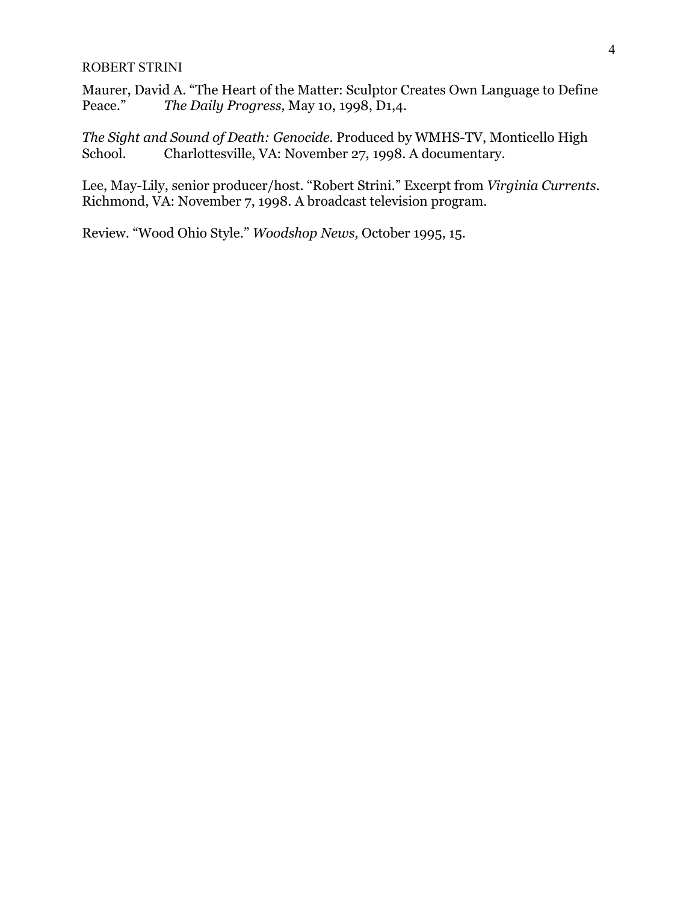Maurer, David A. "The Heart of the Matter: Sculptor Creates Own Language to Define Peace." *The Daily Progress,* May 10, 1998, D1,4.

*The Sight and Sound of Death: Genocide.* Produced by WMHS-TV, Monticello High School. Charlottesville, VA: November 27, 1998. A documentary.

Lee, May-Lily, senior producer/host. "Robert Strini." Excerpt from *Virginia Currents*. Richmond, VA: November 7, 1998. A broadcast television program.

Review. "Wood Ohio Style." *Woodshop News,* October 1995, 15.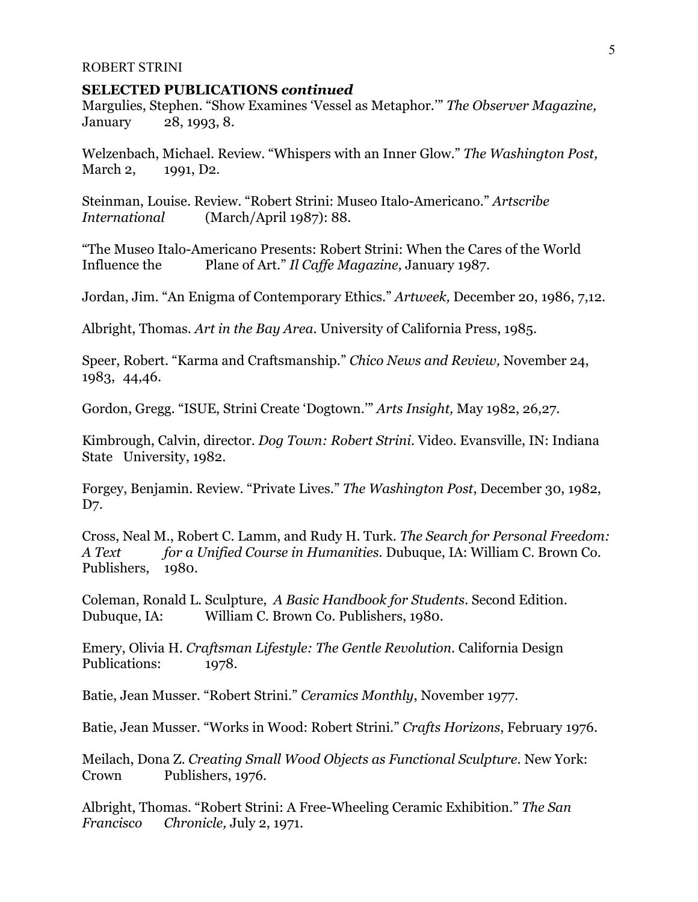### **SELECTED PUBLICATIONS** *continued*

Margulies, Stephen. "Show Examines 'Vessel as Metaphor.'" *The Observer Magazine,*  January 28, 1993, 8.

Welzenbach, Michael. Review. "Whispers with an Inner Glow." *The Washington Post,*  March 2, 1991, D2.

Steinman, Louise. Review. "Robert Strini: Museo Italo-Americano." *Artscribe International* (March/April 1987): 88.

"The Museo Italo-Americano Presents: Robert Strini: When the Cares of the World Influence the Plane of Art." *Il Caffe Magazine,* January 1987.

Jordan, Jim. "An Enigma of Contemporary Ethics." *Artweek,* December 20, 1986, 7,12.

Albright, Thomas. *Art in the Bay Area*. University of California Press, 1985.

Speer, Robert. "Karma and Craftsmanship." *Chico News and Review,* November 24, 1983, 44,46.

Gordon, Gregg. "ISUE, Strini Create 'Dogtown.'" *Arts Insight,* May 1982, 26,27.

Kimbrough, Calvin, director. *Dog Town: Robert Strini*. Video. Evansville, IN: Indiana State University, 1982.

Forgey, Benjamin. Review. "Private Lives." *The Washington Post*, December 30, 1982, D7.

Cross, Neal M., Robert C. Lamm, and Rudy H. Turk. *The Search for Personal Freedom: A Text for a Unified Course in Humanities.* Dubuque, IA: William C. Brown Co. Publishers, 1980.

Coleman, Ronald L. Sculpture, *A Basic Handbook for Students*. Second Edition. Dubuque, IA: William C. Brown Co. Publishers, 1980.

Emery, Olivia H. *Craftsman Lifestyle: The Gentle Revolution*. California Design Publications: 1978.

Batie, Jean Musser. "Robert Strini." *Ceramics Monthly*, November 1977.

Batie, Jean Musser. "Works in Wood: Robert Strini." *Crafts Horizons*, February 1976.

Meilach, Dona Z. *Creating Small Wood Objects as Functional Sculpture*. New York: Crown Publishers, 1976.

Albright, Thomas. "Robert Strini: A Free-Wheeling Ceramic Exhibition." *The San Francisco Chronicle,* July 2, 1971.